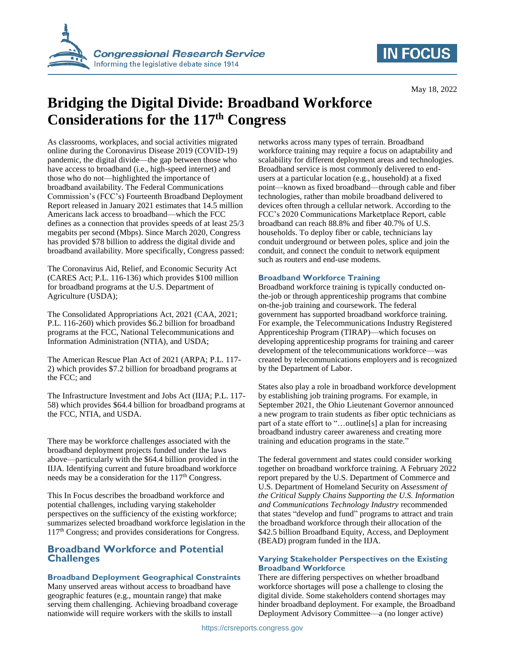

# **IN FOCUS**

# **Bridging the Digital Divide: Broadband Workforce Considerations for the 117th Congress**

As classrooms, workplaces, and social activities migrated online during the Coronavirus Disease 2019 (COVID-19) pandemic, the digital divide—the gap between those who have access to broadband (i.e., high-speed internet) and those who do not—highlighted the importance of broadband availability. The Federal Communications Commission's (FCC's) Fourteenth Broadband Deployment Report released in January 2021 estimates that 14.5 million Americans lack access to broadband—which the FCC defines as a connection that provides speeds of at least 25/3 megabits per second (Mbps). Since March 2020, Congress has provided \$78 billion to address the digital divide and broadband availability. More specifically, Congress passed:

The Coronavirus Aid, Relief, and Economic Security Act (CARES Act; P.L. 116-136) which provides \$100 million for broadband programs at the U.S. Department of Agriculture (USDA);

The Consolidated Appropriations Act, 2021 (CAA, 2021; P.L. 116-260) which provides \$6.2 billion for broadband programs at the FCC, National Telecommunications and Information Administration (NTIA), and USDA;

The American Rescue Plan Act of 2021 (ARPA; P.L. 117- 2) which provides \$7.2 billion for broadband programs at the FCC; and

The Infrastructure Investment and Jobs Act (IIJA; P.L. 117- 58) which provides \$64.4 billion for broadband programs at the FCC, NTIA, and USDA.

There may be workforce challenges associated with the broadband deployment projects funded under the laws above—particularly with the \$64.4 billion provided in the IIJA. Identifying current and future broadband workforce needs may be a consideration for the 117<sup>th</sup> Congress.

This In Focus describes the broadband workforce and potential challenges, including varying stakeholder perspectives on the sufficiency of the existing workforce; summarizes selected broadband workforce legislation in the 117th Congress; and provides considerations for Congress.

# **Broadband Workforce and Potential Challenges**

## **Broadband Deployment Geographical Constraints**

Many unserved areas without access to broadband have geographic features (e.g., mountain range) that make serving them challenging. Achieving broadband coverage nationwide will require workers with the skills to install

networks across many types of terrain. Broadband workforce training may require a focus on adaptability and scalability for different deployment areas and technologies. Broadband service is most commonly delivered to endusers at a particular location (e.g., household) at a fixed point—known as fixed broadband—through cable and fiber technologies, rather than mobile broadband delivered to devices often through a cellular network. According to the FCC's 2020 Communications Marketplace Report, cable broadband can reach 88.8% and fiber 40.7% of U.S. households. To deploy fiber or cable, technicians lay conduit underground or between poles, splice and join the conduit, and connect the conduit to network equipment such as routers and end-use modems.

## **Broadband Workforce Training**

Broadband workforce training is typically conducted onthe-job or through apprenticeship programs that combine on-the-job training and coursework. The federal government has supported broadband workforce training. For example, the Telecommunications Industry Registered Apprenticeship Program (TIRAP)—which focuses on developing apprenticeship programs for training and career development of the telecommunications workforce—was created by telecommunications employers and is recognized by the Department of Labor.

States also play a role in broadband workforce development by establishing job training programs. For example, in September 2021, the Ohio Lieutenant Governor announced a new program to train students as fiber optic technicians as part of a state effort to "…outline[s] a plan for increasing broadband industry career awareness and creating more training and education programs in the state."

The federal government and states could consider working together on broadband workforce training. A February 2022 report prepared by the U.S. Department of Commerce and U.S. Department of Homeland Security on *Assessment of the Critical Supply Chains Supporting the U.S. Information and Communications Technology Industry* recommended that states "develop and fund" programs to attract and train the broadband workforce through their allocation of the \$42.5 billion Broadband Equity, Access, and Deployment (BEAD) program funded in the IIJA.

#### **Varying Stakeholder Perspectives on the Existing Broadband Workforce**

There are differing perspectives on whether broadband workforce shortages will pose a challenge to closing the digital divide. Some stakeholders contend shortages may hinder broadband deployment. For example, the Broadband Deployment Advisory Committee—a (no longer active)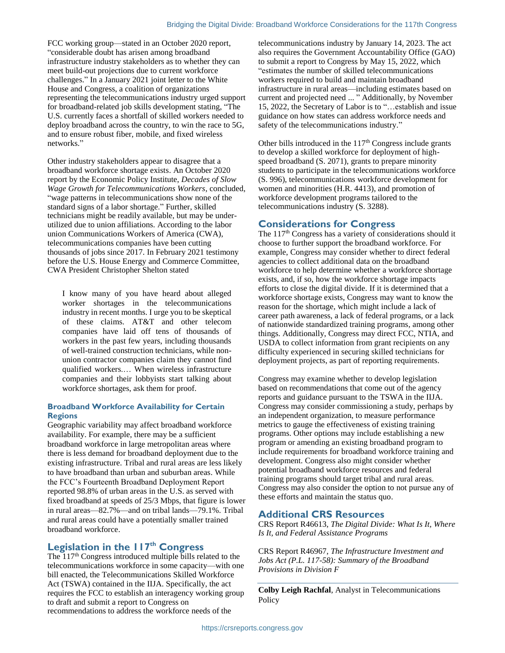FCC working group—stated in an October 2020 report, "considerable doubt has arisen among broadband infrastructure industry stakeholders as to whether they can meet build-out projections due to current workforce challenges." In a January 2021 joint letter to the White House and Congress, a coalition of organizations representing the telecommunications industry urged support for broadband-related job skills development stating, "The U.S. currently faces a shortfall of skilled workers needed to deploy broadband across the country, to win the race to 5G, and to ensure robust fiber, mobile, and fixed wireless networks."

Other industry stakeholders appear to disagree that a broadband workforce shortage exists. An October 2020 report by the Economic Policy Institute, *Decades of Slow Wage Growth for Telecommunications Workers*, concluded, "wage patterns in telecommunications show none of the standard signs of a labor shortage." Further, skilled technicians might be readily available, but may be underutilized due to union affiliations. According to the labor union Communications Workers of America (CWA), telecommunications companies have been cutting thousands of jobs since 2017. In February 2021 testimony before the U.S. House Energy and Commerce Committee, CWA President Christopher Shelton stated

I know many of you have heard about alleged worker shortages in the telecommunications industry in recent months. I urge you to be skeptical of these claims. AT&T and other telecom companies have laid off tens of thousands of workers in the past few years, including thousands of well-trained construction technicians, while nonunion contractor companies claim they cannot find qualified workers.… When wireless infrastructure companies and their lobbyists start talking about workforce shortages, ask them for proof.

#### **Broadband Workforce Availability for Certain Regions**

Geographic variability may affect broadband workforce availability. For example, there may be a sufficient broadband workforce in large metropolitan areas where there is less demand for broadband deployment due to the existing infrastructure. Tribal and rural areas are less likely to have broadband than urban and suburban areas. While the FCC's Fourteenth Broadband Deployment Report reported 98.8% of urban areas in the U.S. as served with fixed broadband at speeds of 25/3 Mbps, that figure is lower in rural areas—82.7%—and on tribal lands—79.1%. Tribal and rural areas could have a potentially smaller trained broadband workforce.

# **Legislation in the 117th Congress**

The 117<sup>th</sup> Congress introduced multiple bills related to the telecommunications workforce in some capacity—with one bill enacted, the Telecommunications Skilled Workforce Act (TSWA) contained in the IIJA. Specifically, the act requires the FCC to establish an interagency working group to draft and submit a report to Congress on recommendations to address the workforce needs of the

telecommunications industry by January 14, 2023. The act also requires the Government Accountability Office (GAO) to submit a report to Congress by May 15, 2022, which "estimates the number of skilled telecommunications workers required to build and maintain broadband infrastructure in rural areas—including estimates based on current and projected need ... " Additionally, by November 15, 2022, the Secretary of Labor is to "…establish and issue guidance on how states can address workforce needs and safety of the telecommunications industry."

Other bills introduced in the  $117<sup>th</sup>$  Congress include grants to develop a skilled workforce for deployment of highspeed broadband (S. 2071), grants to prepare minority students to participate in the telecommunications workforce (S. 996), telecommunications workforce development for women and minorities (H.R. 4413), and promotion of workforce development programs tailored to the telecommunications industry (S. 3288).

## **Considerations for Congress**

The  $117<sup>th</sup>$  Congress has a variety of considerations should it choose to further support the broadband workforce. For example, Congress may consider whether to direct federal agencies to collect additional data on the broadband workforce to help determine whether a workforce shortage exists, and, if so, how the workforce shortage impacts efforts to close the digital divide. If it is determined that a workforce shortage exists, Congress may want to know the reason for the shortage, which might include a lack of career path awareness, a lack of federal programs, or a lack of nationwide standardized training programs, among other things. Additionally, Congress may direct FCC, NTIA, and USDA to collect information from grant recipients on any difficulty experienced in securing skilled technicians for deployment projects, as part of reporting requirements.

Congress may examine whether to develop legislation based on recommendations that come out of the agency reports and guidance pursuant to the TSWA in the IIJA. Congress may consider commissioning a study, perhaps by an independent organization, to measure performance metrics to gauge the effectiveness of existing training programs. Other options may include establishing a new program or amending an existing broadband program to include requirements for broadband workforce training and development. Congress also might consider whether potential broadband workforce resources and federal training programs should target tribal and rural areas. Congress may also consider the option to not pursue any of these efforts and maintain the status quo.

## **Additional CRS Resources**

CRS Report R46613, *The Digital Divide: What Is It, Where Is It, and Federal Assistance Programs*

CRS Report R46967, *The Infrastructure Investment and Jobs Act (P.L. 117-58): Summary of the Broadband Provisions in Division F*

**Colby Leigh Rachfal**, Analyst in Telecommunications **Policy**